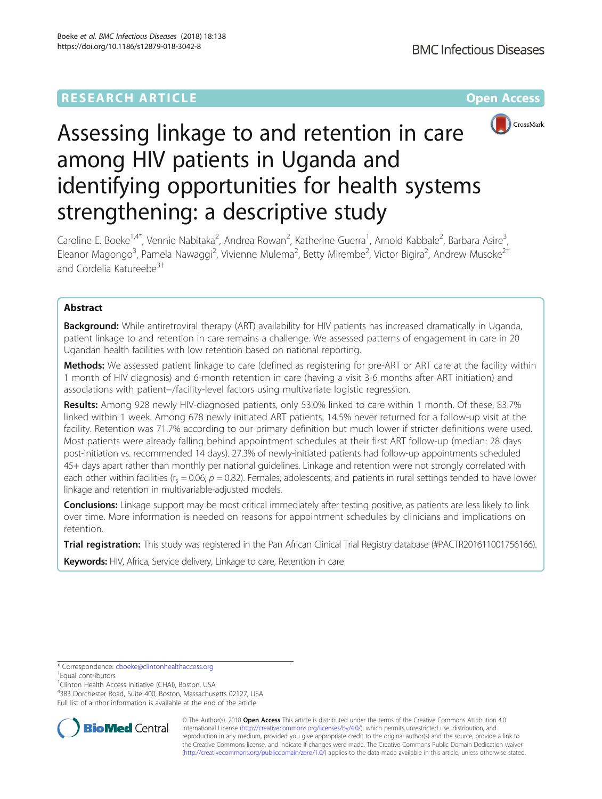## **RESEARCH ARTICLE Example 2014 12:30 The Community Community Community Community Community Community Community**



# Assessing linkage to and retention in care among HIV patients in Uganda and identifying opportunities for health systems strengthening: a descriptive study

Caroline E. Boeke<sup>1,4\*</sup>, Vennie Nabitaka<sup>2</sup>, Andrea Rowan<sup>2</sup>, Katherine Guerra<sup>1</sup>, Arnold Kabbale<sup>2</sup>, Barbara Asire<sup>3</sup> , Eleanor Magongo<sup>3</sup>, Pamela Nawaggi<sup>2</sup>, Vivienne Mulema<sup>2</sup>, Betty Mirembe<sup>2</sup>, Victor Bigira<sup>2</sup>, Andrew Musoke<sup>2†</sup> and Cordelia Katureebe<sup>3†</sup>

## Abstract

**Background:** While antiretroviral therapy (ART) availability for HIV patients has increased dramatically in Uganda, patient linkage to and retention in care remains a challenge. We assessed patterns of engagement in care in 20 Ugandan health facilities with low retention based on national reporting.

Methods: We assessed patient linkage to care (defined as registering for pre-ART or ART care at the facility within 1 month of HIV diagnosis) and 6-month retention in care (having a visit 3-6 months after ART initiation) and associations with patient−/facility-level factors using multivariate logistic regression.

Results: Among 928 newly HIV-diagnosed patients, only 53.0% linked to care within 1 month. Of these, 83.7% linked within 1 week. Among 678 newly initiated ART patients, 14.5% never returned for a follow-up visit at the facility. Retention was 71.7% according to our primary definition but much lower if stricter definitions were used. Most patients were already falling behind appointment schedules at their first ART follow-up (median: 28 days post-initiation vs. recommended 14 days). 27.3% of newly-initiated patients had follow-up appointments scheduled 45+ days apart rather than monthly per national guidelines. Linkage and retention were not strongly correlated with each other within facilities ( $r_s = 0.06$ ;  $p = 0.82$ ). Females, adolescents, and patients in rural settings tended to have lower linkage and retention in multivariable-adjusted models.

Conclusions: Linkage support may be most critical immediately after testing positive, as patients are less likely to link over time. More information is needed on reasons for appointment schedules by clinicians and implications on retention.

Trial registration: This study was registered in the Pan African Clinical Trial Registry database (#PACTR201611001756166).

Keywords: HIV, Africa, Service delivery, Linkage to care, Retention in care

\* Correspondence: [cboeke@clintonhealthaccess.org](mailto:cboeke@clintonhealthaccess.org) †

<sup>1</sup> Clinton Health Access Initiative (CHAI), Boston, USA

4 383 Dorchester Road, Suite 400, Boston, Massachusetts 02127, USA

Full list of author information is available at the end of the article



© The Author(s). 2018 Open Access This article is distributed under the terms of the Creative Commons Attribution 4.0 International License [\(http://creativecommons.org/licenses/by/4.0/](http://creativecommons.org/licenses/by/4.0/)), which permits unrestricted use, distribution, and reproduction in any medium, provided you give appropriate credit to the original author(s) and the source, provide a link to the Creative Commons license, and indicate if changes were made. The Creative Commons Public Domain Dedication waiver [\(http://creativecommons.org/publicdomain/zero/1.0/](http://creativecommons.org/publicdomain/zero/1.0/)) applies to the data made available in this article, unless otherwise stated.

Equal contributors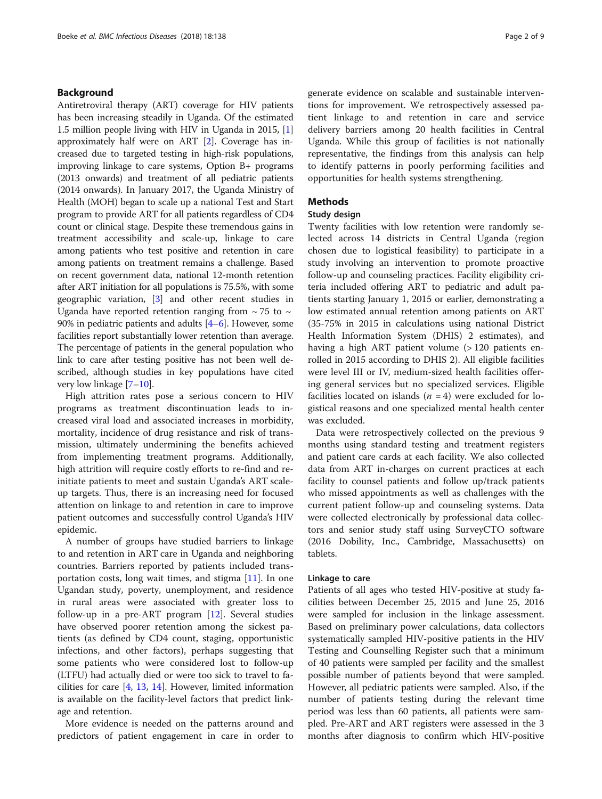## Background

Antiretroviral therapy (ART) coverage for HIV patients has been increasing steadily in Uganda. Of the estimated 1.5 million people living with HIV in Uganda in 2015, [[1](#page-7-0)] approximately half were on ART [\[2\]](#page-7-0). Coverage has increased due to targeted testing in high-risk populations, improving linkage to care systems, Option B+ programs (2013 onwards) and treatment of all pediatric patients (2014 onwards). In January 2017, the Uganda Ministry of Health (MOH) began to scale up a national Test and Start program to provide ART for all patients regardless of CD4 count or clinical stage. Despite these tremendous gains in treatment accessibility and scale-up, linkage to care among patients who test positive and retention in care among patients on treatment remains a challenge. Based on recent government data, national 12-month retention after ART initiation for all populations is 75.5%, with some geographic variation, [[3](#page-7-0)] and other recent studies in Uganda have reported retention ranging from  $\sim$  75 to  $\sim$ 90% in pediatric patients and adults [[4](#page-7-0)–[6](#page-7-0)]. However, some facilities report substantially lower retention than average. The percentage of patients in the general population who link to care after testing positive has not been well described, although studies in key populations have cited very low linkage [[7](#page-7-0)–[10](#page-7-0)].

High attrition rates pose a serious concern to HIV programs as treatment discontinuation leads to increased viral load and associated increases in morbidity, mortality, incidence of drug resistance and risk of transmission, ultimately undermining the benefits achieved from implementing treatment programs. Additionally, high attrition will require costly efforts to re-find and reinitiate patients to meet and sustain Uganda's ART scaleup targets. Thus, there is an increasing need for focused attention on linkage to and retention in care to improve patient outcomes and successfully control Uganda's HIV epidemic.

A number of groups have studied barriers to linkage to and retention in ART care in Uganda and neighboring countries. Barriers reported by patients included transportation costs, long wait times, and stigma [\[11\]](#page-7-0). In one Ugandan study, poverty, unemployment, and residence in rural areas were associated with greater loss to follow-up in a pre-ART program [[12\]](#page-7-0). Several studies have observed poorer retention among the sickest patients (as defined by CD4 count, staging, opportunistic infections, and other factors), perhaps suggesting that some patients who were considered lost to follow-up (LTFU) had actually died or were too sick to travel to facilities for care [\[4](#page-7-0), [13,](#page-7-0) [14\]](#page-7-0). However, limited information is available on the facility-level factors that predict linkage and retention.

More evidence is needed on the patterns around and predictors of patient engagement in care in order to generate evidence on scalable and sustainable interventions for improvement. We retrospectively assessed patient linkage to and retention in care and service delivery barriers among 20 health facilities in Central Uganda. While this group of facilities is not nationally representative, the findings from this analysis can help to identify patterns in poorly performing facilities and opportunities for health systems strengthening.

## **Methods**

## Study design

Twenty facilities with low retention were randomly selected across 14 districts in Central Uganda (region chosen due to logistical feasibility) to participate in a study involving an intervention to promote proactive follow-up and counseling practices. Facility eligibility criteria included offering ART to pediatric and adult patients starting January 1, 2015 or earlier, demonstrating a low estimated annual retention among patients on ART (35-75% in 2015 in calculations using national District Health Information System (DHIS) 2 estimates), and having a high ART patient volume (> 120 patients enrolled in 2015 according to DHIS 2). All eligible facilities were level III or IV, medium-sized health facilities offering general services but no specialized services. Eligible facilities located on islands ( $n = 4$ ) were excluded for logistical reasons and one specialized mental health center was excluded.

Data were retrospectively collected on the previous 9 months using standard testing and treatment registers and patient care cards at each facility. We also collected data from ART in-charges on current practices at each facility to counsel patients and follow up/track patients who missed appointments as well as challenges with the current patient follow-up and counseling systems. Data were collected electronically by professional data collectors and senior study staff using SurveyCTO software (2016 Dobility, Inc., Cambridge, Massachusetts) on tablets.

## Linkage to care

Patients of all ages who tested HIV-positive at study facilities between December 25, 2015 and June 25, 2016 were sampled for inclusion in the linkage assessment. Based on preliminary power calculations, data collectors systematically sampled HIV-positive patients in the HIV Testing and Counselling Register such that a minimum of 40 patients were sampled per facility and the smallest possible number of patients beyond that were sampled. However, all pediatric patients were sampled. Also, if the number of patients testing during the relevant time period was less than 60 patients, all patients were sampled. Pre-ART and ART registers were assessed in the 3 months after diagnosis to confirm which HIV-positive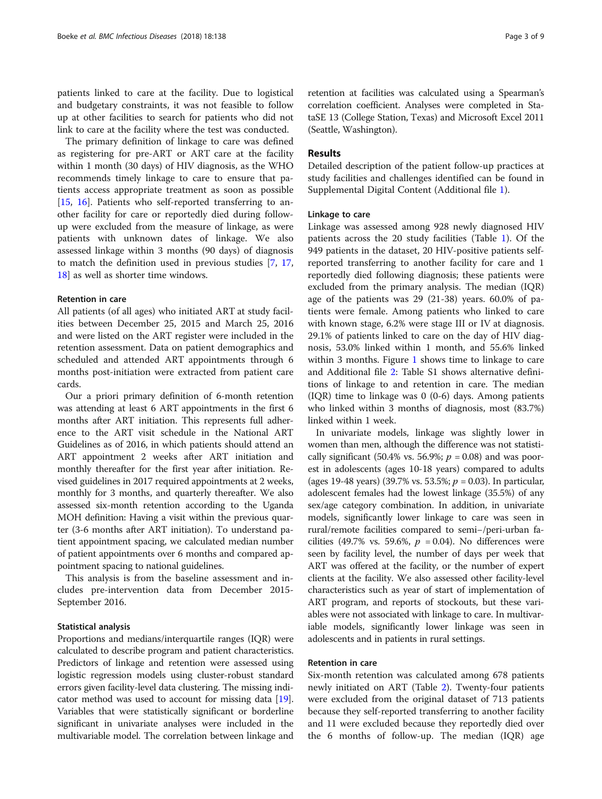patients linked to care at the facility. Due to logistical and budgetary constraints, it was not feasible to follow up at other facilities to search for patients who did not link to care at the facility where the test was conducted.

The primary definition of linkage to care was defined as registering for pre-ART or ART care at the facility within 1 month (30 days) of HIV diagnosis, as the WHO recommends timely linkage to care to ensure that patients access appropriate treatment as soon as possible [[15,](#page-7-0) [16](#page-7-0)]. Patients who self-reported transferring to another facility for care or reportedly died during followup were excluded from the measure of linkage, as were patients with unknown dates of linkage. We also assessed linkage within 3 months (90 days) of diagnosis to match the definition used in previous studies [[7](#page-7-0), [17](#page-7-0), [18\]](#page-8-0) as well as shorter time windows.

## Retention in care

All patients (of all ages) who initiated ART at study facilities between December 25, 2015 and March 25, 2016 and were listed on the ART register were included in the retention assessment. Data on patient demographics and scheduled and attended ART appointments through 6 months post-initiation were extracted from patient care cards.

Our a priori primary definition of 6-month retention was attending at least 6 ART appointments in the first 6 months after ART initiation. This represents full adherence to the ART visit schedule in the National ART Guidelines as of 2016, in which patients should attend an ART appointment 2 weeks after ART initiation and monthly thereafter for the first year after initiation. Revised guidelines in 2017 required appointments at 2 weeks, monthly for 3 months, and quarterly thereafter. We also assessed six-month retention according to the Uganda MOH definition: Having a visit within the previous quarter (3-6 months after ART initiation). To understand patient appointment spacing, we calculated median number of patient appointments over 6 months and compared appointment spacing to national guidelines.

This analysis is from the baseline assessment and includes pre-intervention data from December 2015- September 2016.

## Statistical analysis

Proportions and medians/interquartile ranges (IQR) were calculated to describe program and patient characteristics. Predictors of linkage and retention were assessed using logistic regression models using cluster-robust standard errors given facility-level data clustering. The missing indicator method was used to account for missing data [[19](#page-8-0)]. Variables that were statistically significant or borderline significant in univariate analyses were included in the multivariable model. The correlation between linkage and retention at facilities was calculated using a Spearman's correlation coefficient. Analyses were completed in StataSE 13 (College Station, Texas) and Microsoft Excel 2011 (Seattle, Washington).

## Results

Detailed description of the patient follow-up practices at study facilities and challenges identified can be found in Supplemental Digital Content (Additional file [1](#page-7-0)).

## Linkage to care

Linkage was assessed among 928 newly diagnosed HIV patients across the 20 study facilities (Table [1](#page-3-0)). Of the 949 patients in the dataset, 20 HIV-positive patients selfreported transferring to another facility for care and 1 reportedly died following diagnosis; these patients were excluded from the primary analysis. The median (IQR) age of the patients was 29 (21-38) years. 60.0% of patients were female. Among patients who linked to care with known stage, 6.2% were stage III or IV at diagnosis. 29.1% of patients linked to care on the day of HIV diagnosis, 53.0% linked within 1 month, and 55.6% linked within 3 months. Figure [1](#page-3-0) shows time to linkage to care and Additional file [2:](#page-7-0) Table S1 shows alternative definitions of linkage to and retention in care. The median (IQR) time to linkage was 0 (0-6) days. Among patients who linked within 3 months of diagnosis, most (83.7%) linked within 1 week.

In univariate models, linkage was slightly lower in women than men, although the difference was not statistically significant (50.4% vs. 56.9%;  $p = 0.08$ ) and was poorest in adolescents (ages 10-18 years) compared to adults (ages 19-48 years) (39.7% vs. 53.5%;  $p = 0.03$ ). In particular, adolescent females had the lowest linkage (35.5%) of any sex/age category combination. In addition, in univariate models, significantly lower linkage to care was seen in rural/remote facilities compared to semi−/peri-urban facilities (49.7% vs. 59.6%,  $p = 0.04$ ). No differences were seen by facility level, the number of days per week that ART was offered at the facility, or the number of expert clients at the facility. We also assessed other facility-level characteristics such as year of start of implementation of ART program, and reports of stockouts, but these variables were not associated with linkage to care. In multivariable models, significantly lower linkage was seen in adolescents and in patients in rural settings.

## Retention in care

Six-month retention was calculated among 678 patients newly initiated on ART (Table [2\)](#page-4-0). Twenty-four patients were excluded from the original dataset of 713 patients because they self-reported transferring to another facility and 11 were excluded because they reportedly died over the 6 months of follow-up. The median (IQR) age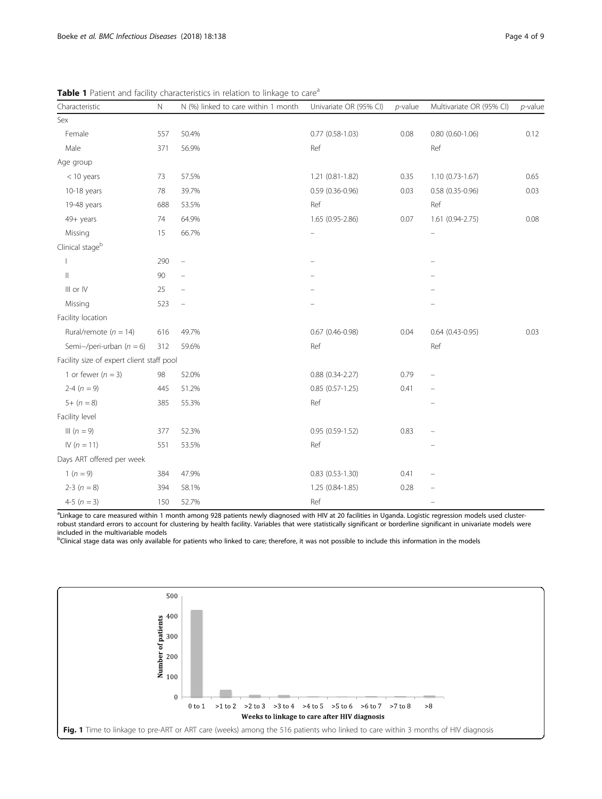| Characteristic                            | $\mathbb N$ | N (%) linked to care within 1 month | Univariate OR (95% CI) | $p$ -value | Multivariate OR (95% CI) | $p$ -value |
|-------------------------------------------|-------------|-------------------------------------|------------------------|------------|--------------------------|------------|
| Sex                                       |             |                                     |                        |            |                          |            |
| Female                                    | 557         | 50.4%                               | $0.77(0.58-1.03)$      | 0.08       | $0.80$ (0.60-1.06)       | 0.12       |
| Male                                      | 371         | 56.9%                               | Ref                    |            | Ref                      |            |
| Age group                                 |             |                                     |                        |            |                          |            |
| $<$ 10 years                              | 73          | 57.5%                               | 1.21 (0.81-1.82)       | 0.35       | 1.10 (0.73-1.67)         | 0.65       |
| 10-18 years                               | 78          | 39.7%                               | 0.59 (0.36-0.96)       | 0.03       | 0.58 (0.35-0.96)         | 0.03       |
| 19-48 years                               | 688         | 53.5%                               | Ref                    |            | Ref                      |            |
| 49+ years                                 | 74          | 64.9%                               | 1.65 (0.95-2.86)       | 0.07       | 1.61 (0.94-2.75)         | 0.08       |
| Missing                                   | 15          | 66.7%                               | $\qquad \qquad -$      |            |                          |            |
| Clinical stageb                           |             |                                     |                        |            |                          |            |
|                                           | 290         | $\equiv$                            |                        |            |                          |            |
| $\vert\vert$                              | 90          | $\overline{\phantom{0}}$            |                        |            |                          |            |
| III or IV                                 | 25          | $\qquad \qquad -$                   |                        |            |                          |            |
| Missing                                   | 523         | $\overline{\phantom{0}}$            |                        |            |                          |            |
| Facility location                         |             |                                     |                        |            |                          |            |
| Rural/remote ( $n = 14$ )                 | 616         | 49.7%                               | $0.67(0.46-0.98)$      | 0.04       | $0.64$ (0.43-0.95)       | 0.03       |
| Semi-/peri-urban ( $n = 6$ )              | 312         | 59.6%                               | Ref                    |            | Ref                      |            |
| Facility size of expert client staff pool |             |                                     |                        |            |                          |            |
| 1 or fewer $(n = 3)$                      | 98          | 52.0%                               | $0.88(0.34-2.27)$      | 0.79       | $\overline{\phantom{0}}$ |            |
| 2-4 $(n = 9)$                             | 445         | 51.2%                               | $0.85(0.57-1.25)$      | 0.41       | $\qquad \qquad -$        |            |
| $5+ (n = 8)$                              | 385         | 55.3%                               | Ref                    |            |                          |            |
| Facility level                            |             |                                     |                        |            |                          |            |
| $III (n = 9)$                             | 377         | 52.3%                               | $0.95(0.59-1.52)$      | 0.83       |                          |            |
| $IV (n = 11)$                             | 551         | 53.5%                               | Ref                    |            |                          |            |
| Days ART offered per week                 |             |                                     |                        |            |                          |            |
| $1(n=9)$                                  | 384         | 47.9%                               | $0.83$ $(0.53 - 1.30)$ | 0.41       |                          |            |
| 2-3 $(n = 8)$                             | 394         | 58.1%                               | 1.25 (0.84-1.85)       | 0.28       | $\qquad \qquad -$        |            |
| 4-5 $(n = 3)$                             | 150         | 52.7%                               | Ref                    |            |                          |            |

<span id="page-3-0"></span>Table 1 Patient and facility characteristics in relation to linkage to care<sup>a</sup>

<sup>a</sup>Linkage to care measured within 1 month among 928 patients newly diagnosed with HIV at 20 facilities in Uganda. Logistic regression models used clusterrobust standard errors to account for clustering by health facility. Variables that were statistically significant or borderline significant in univariate models were included in the multivariable models

b Clinical stage data was only available for patients who linked to care; therefore, it was not possible to include this information in the models

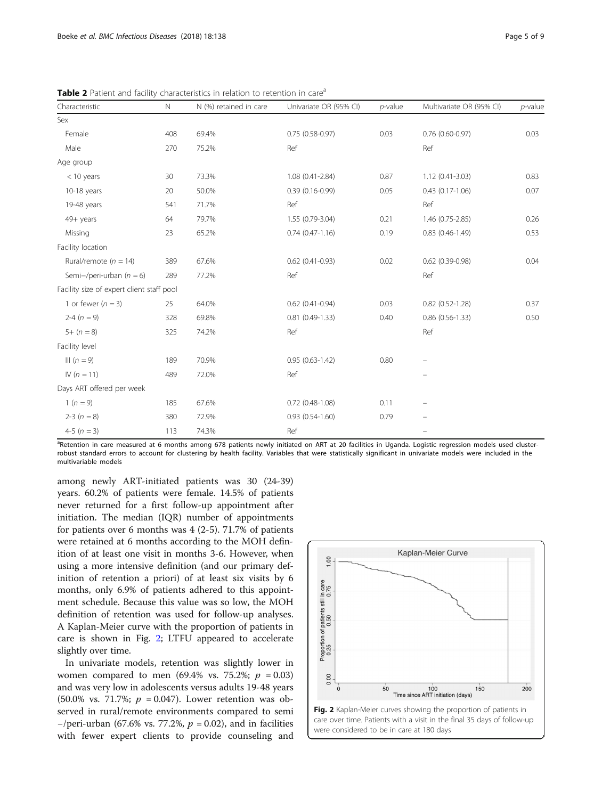| Characteristic                            | $\mathsf{N}$ | N (%) retained in care | Univariate OR (95% CI) | $p$ -value | Multivariate OR (95% CI) | $p$ -value |
|-------------------------------------------|--------------|------------------------|------------------------|------------|--------------------------|------------|
| Sex                                       |              |                        |                        |            |                          |            |
| Female                                    | 408          | 69.4%                  | $0.75(0.58-0.97)$      | 0.03       | $0.76$ (0.60-0.97)       | 0.03       |
| Male                                      | 270          | 75.2%                  | Ref                    |            | Ref                      |            |
| Age group                                 |              |                        |                        |            |                          |            |
| $<$ 10 years                              | 30           | 73.3%                  | 1.08 (0.41-2.84)       | 0.87       | $1.12(0.41 - 3.03)$      | 0.83       |
| 10-18 years                               | 20           | 50.0%                  | $0.39(0.16-0.99)$      | 0.05       | $0.43(0.17-1.06)$        | 0.07       |
| 19-48 years                               | 541          | 71.7%                  | Ref                    |            | Ref                      |            |
| 49+ years                                 | 64           | 79.7%                  | 1.55 (0.79-3.04)       | 0.21       | 1.46 (0.75-2.85)         | 0.26       |
| Missing                                   | 23           | 65.2%                  | $0.74(0.47-1.16)$      | 0.19       | $0.83(0.46-1.49)$        | 0.53       |
| Facility location                         |              |                        |                        |            |                          |            |
| Rural/remote ( $n = 14$ )                 | 389          | 67.6%                  | $0.62$ (0.41-0.93)     | 0.02       | $0.62$ (0.39-0.98)       | 0.04       |
| Semi-/peri-urban $(n = 6)$                | 289          | 77.2%                  | Ref                    |            | Ref                      |            |
| Facility size of expert client staff pool |              |                        |                        |            |                          |            |
| 1 or fewer $(n = 3)$                      | 25           | 64.0%                  | $0.62$ (0.41-0.94)     | 0.03       | $0.82$ $(0.52 - 1.28)$   | 0.37       |
| 2-4 $(n = 9)$                             | 328          | 69.8%                  | $0.81(0.49-1.33)$      | 0.40       | $0.86$ $(0.56 - 1.33)$   | 0.50       |
| $5+ (n = 8)$                              | 325          | 74.2%                  | Ref                    |            | Ref                      |            |
| Facility level                            |              |                        |                        |            |                          |            |
| III $(n = 9)$                             | 189          | 70.9%                  | $0.95(0.63 - 1.42)$    | 0.80       |                          |            |
| IV $(n = 11)$                             | 489          | 72.0%                  | Ref                    |            | $\overline{\phantom{0}}$ |            |
| Days ART offered per week                 |              |                        |                        |            |                          |            |
| $1(n=9)$                                  | 185          | 67.6%                  | $0.72$ (0.48-1.08)     | 0.11       | -                        |            |
| 2-3 $(n = 8)$                             | 380          | 72.9%                  | $0.93(0.54-1.60)$      | 0.79       | ÷                        |            |
| 4-5 $(n = 3)$                             | 113          | 74.3%                  | Ref                    |            | $\overline{\phantom{0}}$ |            |

<span id="page-4-0"></span>Table 2 Patient and facility characteristics in relation to retention in care<sup>a</sup>

<sup>a</sup>Retention in care measured at 6 months among 678 patients newly initiated on ART at 20 facilities in Uganda. Logistic regression models used clusterrobust standard errors to account for clustering by health facility. Variables that were statistically significant in univariate models were included in the multivariable models

among newly ART-initiated patients was 30 (24-39) years. 60.2% of patients were female. 14.5% of patients never returned for a first follow-up appointment after initiation. The median (IQR) number of appointments for patients over 6 months was 4 (2-5). 71.7% of patients were retained at 6 months according to the MOH definition of at least one visit in months 3-6. However, when using a more intensive definition (and our primary definition of retention a priori) of at least six visits by 6 months, only 6.9% of patients adhered to this appointment schedule. Because this value was so low, the MOH definition of retention was used for follow-up analyses. A Kaplan-Meier curve with the proportion of patients in care is shown in Fig. 2; LTFU appeared to accelerate slightly over time.

In univariate models, retention was slightly lower in women compared to men  $(69.4\% \text{ vs. } 75.2\%; p = 0.03)$ and was very low in adolescents versus adults 19-48 years (50.0% vs. 71.7%;  $p = 0.047$ ). Lower retention was observed in rural/remote environments compared to semi  $-p$ eri-urban (67.6% vs. 77.2%,  $p = 0.02$ ), and in facilities with fewer expert clients to provide counseling and

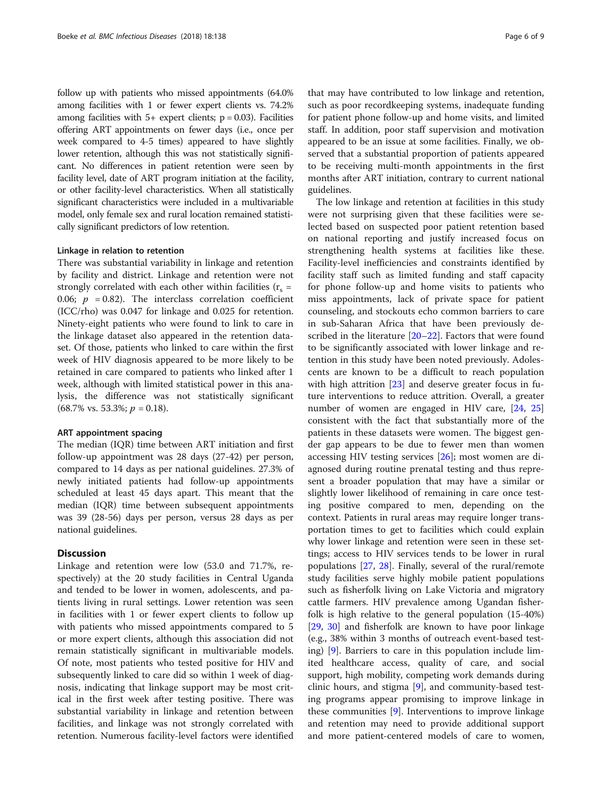follow up with patients who missed appointments (64.0% among facilities with 1 or fewer expert clients vs. 74.2% among facilities with  $5+$  expert clients;  $p = 0.03$ ). Facilities offering ART appointments on fewer days (i.e., once per week compared to 4-5 times) appeared to have slightly lower retention, although this was not statistically significant. No differences in patient retention were seen by facility level, date of ART program initiation at the facility, or other facility-level characteristics. When all statistically significant characteristics were included in a multivariable model, only female sex and rural location remained statistically significant predictors of low retention.

## Linkage in relation to retention

There was substantial variability in linkage and retention by facility and district. Linkage and retention were not strongly correlated with each other within facilities  $(r_s =$ 0.06;  $p = 0.82$ ). The interclass correlation coefficient (ICC/rho) was 0.047 for linkage and 0.025 for retention. Ninety-eight patients who were found to link to care in the linkage dataset also appeared in the retention dataset. Of those, patients who linked to care within the first week of HIV diagnosis appeared to be more likely to be retained in care compared to patients who linked after 1 week, although with limited statistical power in this analysis, the difference was not statistically significant  $(68.7\% \text{ vs. } 53.3\%; p = 0.18).$ 

#### ART appointment spacing

The median (IQR) time between ART initiation and first follow-up appointment was 28 days (27-42) per person, compared to 14 days as per national guidelines. 27.3% of newly initiated patients had follow-up appointments scheduled at least 45 days apart. This meant that the median (IQR) time between subsequent appointments was 39 (28-56) days per person, versus 28 days as per national guidelines.

## **Discussion**

Linkage and retention were low (53.0 and 71.7%, respectively) at the 20 study facilities in Central Uganda and tended to be lower in women, adolescents, and patients living in rural settings. Lower retention was seen in facilities with 1 or fewer expert clients to follow up with patients who missed appointments compared to 5 or more expert clients, although this association did not remain statistically significant in multivariable models. Of note, most patients who tested positive for HIV and subsequently linked to care did so within 1 week of diagnosis, indicating that linkage support may be most critical in the first week after testing positive. There was substantial variability in linkage and retention between facilities, and linkage was not strongly correlated with retention. Numerous facility-level factors were identified that may have contributed to low linkage and retention, such as poor recordkeeping systems, inadequate funding for patient phone follow-up and home visits, and limited staff. In addition, poor staff supervision and motivation appeared to be an issue at some facilities. Finally, we observed that a substantial proportion of patients appeared to be receiving multi-month appointments in the first months after ART initiation, contrary to current national guidelines.

The low linkage and retention at facilities in this study were not surprising given that these facilities were selected based on suspected poor patient retention based on national reporting and justify increased focus on strengthening health systems at facilities like these. Facility-level inefficiencies and constraints identified by facility staff such as limited funding and staff capacity for phone follow-up and home visits to patients who miss appointments, lack of private space for patient counseling, and stockouts echo common barriers to care in sub-Saharan Africa that have been previously described in the literature [\[20](#page-8-0)–[22\]](#page-8-0). Factors that were found to be significantly associated with lower linkage and retention in this study have been noted previously. Adolescents are known to be a difficult to reach population with high attrition [[23\]](#page-8-0) and deserve greater focus in future interventions to reduce attrition. Overall, a greater number of women are engaged in HIV care, [\[24](#page-8-0), [25](#page-8-0)] consistent with the fact that substantially more of the patients in these datasets were women. The biggest gender gap appears to be due to fewer men than women accessing HIV testing services [[26\]](#page-8-0); most women are diagnosed during routine prenatal testing and thus represent a broader population that may have a similar or slightly lower likelihood of remaining in care once testing positive compared to men, depending on the context. Patients in rural areas may require longer transportation times to get to facilities which could explain why lower linkage and retention were seen in these settings; access to HIV services tends to be lower in rural populations [\[27](#page-8-0), [28\]](#page-8-0). Finally, several of the rural/remote study facilities serve highly mobile patient populations such as fisherfolk living on Lake Victoria and migratory cattle farmers. HIV prevalence among Ugandan fisherfolk is high relative to the general population (15-40%) [[29,](#page-8-0) [30\]](#page-8-0) and fisherfolk are known to have poor linkage (e.g., 38% within 3 months of outreach event-based testing) [[9](#page-7-0)]. Barriers to care in this population include limited healthcare access, quality of care, and social support, high mobility, competing work demands during clinic hours, and stigma [\[9](#page-7-0)], and community-based testing programs appear promising to improve linkage in these communities [\[9\]](#page-7-0). Interventions to improve linkage and retention may need to provide additional support and more patient-centered models of care to women,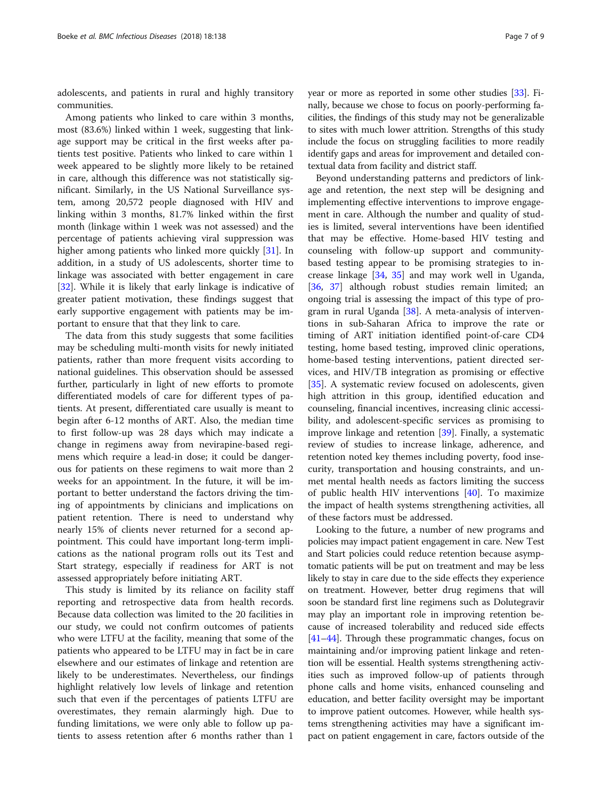adolescents, and patients in rural and highly transitory communities.

Among patients who linked to care within 3 months, most (83.6%) linked within 1 week, suggesting that linkage support may be critical in the first weeks after patients test positive. Patients who linked to care within 1 week appeared to be slightly more likely to be retained in care, although this difference was not statistically significant. Similarly, in the US National Surveillance system, among 20,572 people diagnosed with HIV and linking within 3 months, 81.7% linked within the first month (linkage within 1 week was not assessed) and the percentage of patients achieving viral suppression was higher among patients who linked more quickly [\[31](#page-8-0)]. In addition, in a study of US adolescents, shorter time to linkage was associated with better engagement in care [[32\]](#page-8-0). While it is likely that early linkage is indicative of greater patient motivation, these findings suggest that early supportive engagement with patients may be important to ensure that that they link to care.

The data from this study suggests that some facilities may be scheduling multi-month visits for newly initiated patients, rather than more frequent visits according to national guidelines. This observation should be assessed further, particularly in light of new efforts to promote differentiated models of care for different types of patients. At present, differentiated care usually is meant to begin after 6-12 months of ART. Also, the median time to first follow-up was 28 days which may indicate a change in regimens away from nevirapine-based regimens which require a lead-in dose; it could be dangerous for patients on these regimens to wait more than 2 weeks for an appointment. In the future, it will be important to better understand the factors driving the timing of appointments by clinicians and implications on patient retention. There is need to understand why nearly 15% of clients never returned for a second appointment. This could have important long-term implications as the national program rolls out its Test and Start strategy, especially if readiness for ART is not assessed appropriately before initiating ART.

This study is limited by its reliance on facility staff reporting and retrospective data from health records. Because data collection was limited to the 20 facilities in our study, we could not confirm outcomes of patients who were LTFU at the facility, meaning that some of the patients who appeared to be LTFU may in fact be in care elsewhere and our estimates of linkage and retention are likely to be underestimates. Nevertheless, our findings highlight relatively low levels of linkage and retention such that even if the percentages of patients LTFU are overestimates, they remain alarmingly high. Due to funding limitations, we were only able to follow up patients to assess retention after 6 months rather than 1

year or more as reported in some other studies [[33\]](#page-8-0). Finally, because we chose to focus on poorly-performing facilities, the findings of this study may not be generalizable to sites with much lower attrition. Strengths of this study include the focus on struggling facilities to more readily identify gaps and areas for improvement and detailed contextual data from facility and district staff.

Beyond understanding patterns and predictors of linkage and retention, the next step will be designing and implementing effective interventions to improve engagement in care. Although the number and quality of studies is limited, several interventions have been identified that may be effective. Home-based HIV testing and counseling with follow-up support and communitybased testing appear to be promising strategies to increase linkage [\[34,](#page-8-0) [35](#page-8-0)] and may work well in Uganda, [[36,](#page-8-0) [37](#page-8-0)] although robust studies remain limited; an ongoing trial is assessing the impact of this type of program in rural Uganda [[38\]](#page-8-0). A meta-analysis of interventions in sub-Saharan Africa to improve the rate or timing of ART initiation identified point-of-care CD4 testing, home based testing, improved clinic operations, home-based testing interventions, patient directed services, and HIV/TB integration as promising or effective [[35\]](#page-8-0). A systematic review focused on adolescents, given high attrition in this group, identified education and counseling, financial incentives, increasing clinic accessibility, and adolescent-specific services as promising to improve linkage and retention [[39\]](#page-8-0). Finally, a systematic review of studies to increase linkage, adherence, and retention noted key themes including poverty, food insecurity, transportation and housing constraints, and unmet mental health needs as factors limiting the success of public health HIV interventions [\[40](#page-8-0)]. To maximize the impact of health systems strengthening activities, all of these factors must be addressed.

Looking to the future, a number of new programs and policies may impact patient engagement in care. New Test and Start policies could reduce retention because asymptomatic patients will be put on treatment and may be less likely to stay in care due to the side effects they experience on treatment. However, better drug regimens that will soon be standard first line regimens such as Dolutegravir may play an important role in improving retention because of increased tolerability and reduced side effects [[41](#page-8-0)–[44\]](#page-8-0). Through these programmatic changes, focus on maintaining and/or improving patient linkage and retention will be essential. Health systems strengthening activities such as improved follow-up of patients through phone calls and home visits, enhanced counseling and education, and better facility oversight may be important to improve patient outcomes. However, while health systems strengthening activities may have a significant impact on patient engagement in care, factors outside of the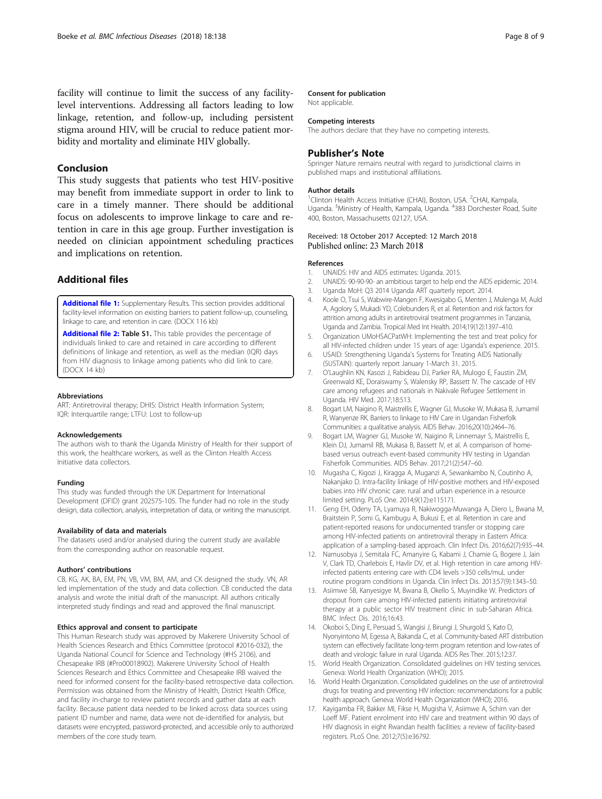<span id="page-7-0"></span>facility will continue to limit the success of any facilitylevel interventions. Addressing all factors leading to low linkage, retention, and follow-up, including persistent stigma around HIV, will be crucial to reduce patient morbidity and mortality and eliminate HIV globally.

## Conclusion

This study suggests that patients who test HIV-positive may benefit from immediate support in order to link to care in a timely manner. There should be additional focus on adolescents to improve linkage to care and retention in care in this age group. Further investigation is needed on clinician appointment scheduling practices and implications on retention.

## Additional files

[Additional file 1:](https://doi.org/10.1186/s12879-018-3042-8) Supplementary Results. This section provides additional facility-level information on existing barriers to patient follow-up, counseling, linkage to care, and retention in care. (DOCX 116 kb)

[Additional file 2:](https://doi.org/10.1186/s12879-018-3042-8) Table S1. This table provides the percentage of individuals linked to care and retained in care according to different definitions of linkage and retention, as well as the median (IQR) days from HIV diagnosis to linkage among patients who did link to care. (DOCX 14 kb)

#### Abbreviations

ART: Antiretroviral therapy; DHIS: District Health Information System; IQR: Interquartile range; LTFU: Lost to follow-up

#### Acknowledgements

The authors wish to thank the Uganda Ministry of Health for their support of this work, the healthcare workers, as well as the Clinton Health Access Initiative data collectors.

#### Funding

This study was funded through the UK Department for International Development (DFID) grant 202575-105. The funder had no role in the study design, data collection, analysis, interpretation of data, or writing the manuscript.

#### Availability of data and materials

The datasets used and/or analysed during the current study are available from the corresponding author on reasonable request.

#### Authors' contributions

CB, KG, AK, BA, EM, PN, VB, VM, BM, AM, and CK designed the study. VN, AR led implementation of the study and data collection. CB conducted the data analysis and wrote the initial draft of the manuscript. All authors critically interpreted study findings and read and approved the final manuscript.

#### Ethics approval and consent to participate

This Human Research study was approved by Makerere University School of Health Sciences Research and Ethics Committee (protocol #2016-032), the Uganda National Council for Science and Technology (#HS 2106), and Chesapeake IRB (#Pro00018902). Makerere University School of Health Sciences Research and Ethics Committee and Chesapeake IRB waived the need for informed consent for the facility-based retrospective data collection. Permission was obtained from the Ministry of Health, District Health Office, and facility in-charge to review patient records and gather data at each facility. Because patient data needed to be linked across data sources using patient ID number and name, data were not de-identified for analysis, but datasets were encrypted, password-protected, and accessible only to authorized members of the core study team.

#### Consent for publication

Not applicable.

#### Competing interests

The authors declare that they have no competing interests.

#### Publisher's Note

Springer Nature remains neutral with regard to jurisdictional claims in published maps and institutional affiliations.

#### Author details

<sup>1</sup> Clinton Health Access Initiative (CHAI), Boston, USA. <sup>2</sup>CHAI, Kampala, Uganda. <sup>3</sup>Ministry of Health, Kampala, Uganda. <sup>4</sup>383 Dorchester Road, Suite 400, Boston, Massachusetts 02127, USA.

### Received: 18 October 2017 Accepted: 12 March 2018 Published online: 23 March 2018

#### References

- 1. UNAIDS: HIV and AIDS estimates: Uganda. 2015.
- 2. UNAIDS: 90-90-90- an ambitious target to help end the AIDS epidemic. 2014.<br>3. Llganda MoH: O3.2014 Hoanda ART quarterly report. 2014.
- 3. Uganda MoH: Q3 2014 Uganda ART quarterly report. 2014.
- 4. Koole O, Tsui S, Wabwire-Mangen F, Kwesigabo G, Menten J, Mulenga M, Auld A, Agolory S, Mukadi YD, Colebunders R, et al. Retention and risk factors for attrition among adults in antiretroviral treatment programmes in Tanzania, Uganda and Zambia. Tropical Med Int Health. 2014;19(12):1397–410.
- 5. Organization UMoHSACPatWH: Implementing the test and treat policy for all HIV-infected children under 15 years of age: Uganda's experience. 2015.
- 6. USAID: Strengthening Uganda's Systems for Treating AIDS Nationally (SUSTAIN): quarterly report January 1-March 31. 2015.
- 7. O'Laughlin KN, Kasozi J, Rabideau DJ, Parker RA, Mulogo E, Faustin ZM, Greenwald KE, Doraiswamy S, Walensky RP, Bassett IV. The cascade of HIV care among refugees and nationals in Nakivale Refugee Settlement in Uganda. HIV Med. 2017;18:513.
- 8. Bogart LM, Naigino R, Maistrellis E, Wagner GJ, Musoke W, Mukasa B, Jumamil R, Wanyenze RK. Barriers to linkage to HIV Care in Ugandan Fisherfolk Communities: a qualitative analysis. AIDS Behav. 2016;20(10):2464–76.
- 9. Bogart LM, Wagner GJ, Musoke W, Naigino R, Linnemayr S, Maistrellis E, Klein DJ, Jumamil RB, Mukasa B, Bassett IV, et al. A comparison of homebased versus outreach event-based community HIV testing in Ugandan Fisherfolk Communities. AIDS Behav. 2017;21(2):547–60.
- 10. Mugasha C, Kigozi J, Kiragga A, Muganzi A, Sewankambo N, Coutinho A, Nakanjako D. Intra-facility linkage of HIV-positive mothers and HIV-exposed babies into HIV chronic care: rural and urban experience in a resource limited setting. PLoS One. 2014;9(12):e115171.
- 11. Geng EH, Odeny TA, Lyamuya R, Nakiwogga-Muwanga A, Diero L, Bwana M, Braitstein P, Somi G, Kambugu A, Bukusi E, et al. Retention in care and patient-reported reasons for undocumented transfer or stopping care among HIV-infected patients on antiretroviral therapy in Eastern Africa: application of a sampling-based approach. Clin Infect Dis. 2016;62(7):935–44.
- 12. Namusobya J, Semitala FC, Amanyire G, Kabami J, Chamie G, Bogere J, Jain V, Clark TD, Charlebois E, Havlir DV, et al. High retention in care among HIVinfected patients entering care with CD4 levels >350 cells/muL under routine program conditions in Uganda. Clin Infect Dis. 2013;57(9):1343–50.
- 13. Asiimwe SB, Kanyesigye M, Bwana B, Okello S, Muyindike W. Predictors of dropout from care among HIV-infected patients initiating antiretroviral therapy at a public sector HIV treatment clinic in sub-Saharan Africa. BMC Infect Dis. 2016;16:43.
- 14. Okoboi S, Ding E, Persuad S, Wangisi J, Birungi J, Shurgold S, Kato D, Nyonyintono M, Egessa A, Bakanda C, et al. Community-based ART distribution system can effectively facilitate long-term program retention and low-rates of death and virologic failure in rural Uganda. AIDS Res Ther. 2015;12:37.
- 15. World Health Organization. Consolidated guidelines on HIV testing services. Geneva: World Health Organization (WHO); 2015.
- 16. World Health Organization. Consolidated guidelines on the use of antiretroviral drugs for treating and preventing HIV infection: recommendations for a public health approach. Geneva: World Health Organization (WHO); 2016.
- 17. Kayigamba FR, Bakker MI, Fikse H, Mugisha V, Asiimwe A, Schim van der Loeff MF. Patient enrolment into HIV care and treatment within 90 days of HIV diagnosis in eight Rwandan health facilities: a review of facility-based registers. PLoS One. 2012;7(5):e36792.